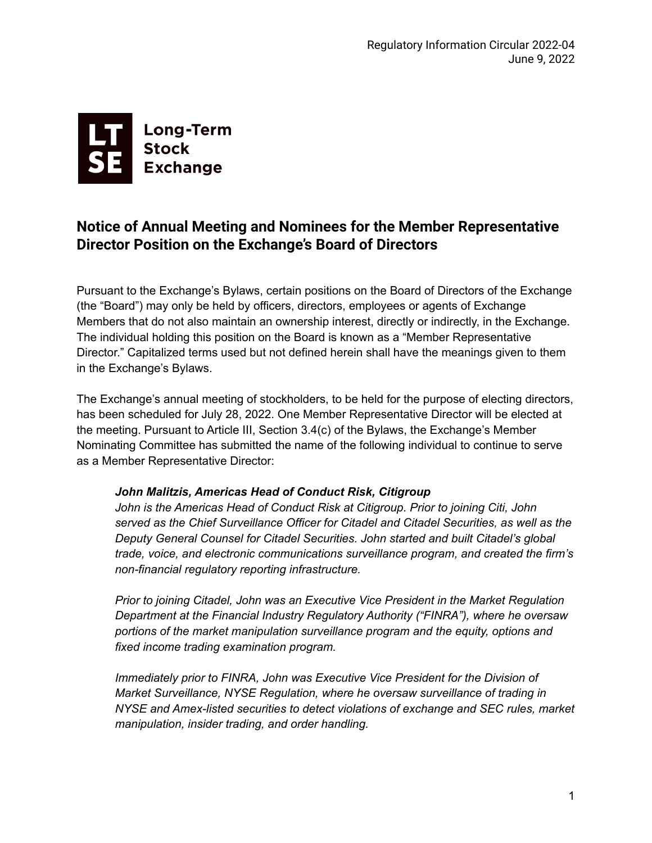

## **Notice of Annual Meeting and Nominees for the Member Representative Director Position on the Exchange's Board of Directors**

Pursuant to the Exchange's Bylaws, certain positions on the Board of Directors of the Exchange (the "Board") may only be held by officers, directors, employees or agents of Exchange Members that do not also maintain an ownership interest, directly or indirectly, in the Exchange. The individual holding this position on the Board is known as a "Member Representative Director." Capitalized terms used but not defined herein shall have the meanings given to them in the Exchange's Bylaws.

The Exchange's annual meeting of stockholders, to be held for the purpose of electing directors, has been scheduled for July 28, 2022. One Member Representative Director will be elected at the meeting. Pursuant to Article III, Section 3.4(c) of the Bylaws, the Exchange's Member Nominating Committee has submitted the name of the following individual to continue to serve as a Member Representative Director:

## *John Malitzis, Americas Head of Conduct Risk, Citigroup*

*John is the Americas Head of Conduct Risk at Citigroup. Prior to joining Citi, John served as the Chief Surveillance Officer for Citadel and Citadel Securities, as well as the Deputy General Counsel for Citadel Securities. John started and built Citadel's global trade, voice, and electronic communications surveillance program, and created the firm's non-financial regulatory reporting infrastructure.*

*Prior to joining Citadel, John was an Executive Vice President in the Market Regulation Department at the Financial Industry Regulatory Authority ("FINRA"), where he oversaw portions of the market manipulation surveillance program and the equity, options and fixed income trading examination program.*

*Immediately prior to FINRA, John was Executive Vice President for the Division of Market Surveillance, NYSE Regulation, where he oversaw surveillance of trading in NYSE and Amex-listed securities to detect violations of exchange and SEC rules, market manipulation, insider trading, and order handling.*